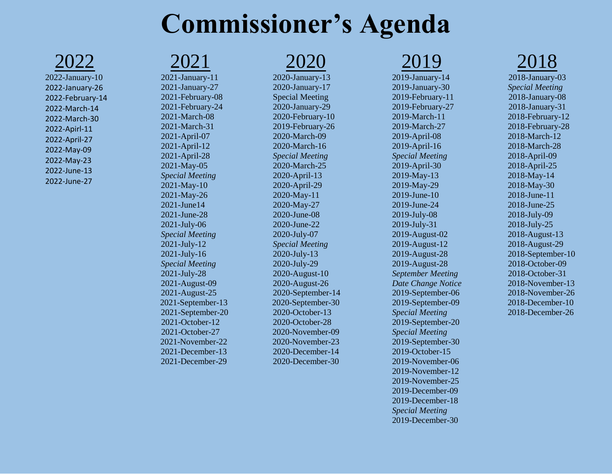## **Commissioner's Agenda**

2022

[2022-January-10](https://custercountyidaho.org/wp-content/uploads/1/01.-Janauary-10-2022.pdf) [2022-January-26](https://custercountyidaho.org/wp-content/uploads/1/02.-January-26-2022.pdf) [2022-February-14](https://custercountyidaho.org/wp-content/uploads/1/03.-February-14-2022.pdf) [2022-March-14](https://custercountyidaho.org/wp-content/uploads/1/04.-March-14-2022.pdf) [2022-March-30](https://custercountyidaho.org/wp-content/uploads/1/05.-March-30-2022.pdf) [2022-Apirl-11](https://custercountyidaho.org/wp-content/uploads/1/06.-April-11-2022.pdf) [2022-April-27](https://custercountyidaho.org/wp-content/uploads/1/07.-April-27-2022.pdf) [2022-May-09](https://custercountyidaho.org/wp-content/uploads/1/08.-May-09-2022.pdf) [2022-May-23](https://custercountyidaho.org/wp-content/uploads/1/09.-May-23-2022.pdf) [2022-June-13](https://custercountyidaho.org/wp-content/uploads/1/10.-June-13-2022.pdf) [2022-June-27](https://custercountyidaho.org/wp-content/uploads/1/11.-June-27-2022.pdf)

#### 2021

[2021-January-11](http://www.co.custer.id.us/wp-content/uploads/1/01.-January-11-2021.pdf) [2021-January-27](http://www.co.custer.id.us/wp-content/uploads/1/02.-January-27-2021.pdf) [2021-February-08](http://www.co.custer.id.us/wp-content/uploads/1/03.-February-08-2021.pdf) [2021-February-24](http://www.co.custer.id.us/wp-content/uploads/1/04.-February-24-2021.pdf) [2021-March-08](http://www.co.custer.id.us/wp-content/uploads/1/05.-March-08-2021.pdf) [2021-March-31](http://www.co.custer.id.us/wp-content/uploads/1/06.-March-31-2021.pdf) [2021-April-07](http://www.co.custer.id.us/wp-content/uploads/1/07.-April-07-2021.pdf) [2021-April-12](http://www.co.custer.id.us/wp-content/uploads/1/08.-2021-April-12.pdf) [2021-April-28](http://www.co.custer.id.us/wp-content/uploads/1/09.April-28-2021.pdf) [2021-May-05](http://www.co.custer.id.us/wp-content/uploads/1/10.-May-05-2021-Speical-Meeting.pdf) *Special Meeting* [2021-May-10](http://www.co.custer.id.us/wp-content/uploads/1/11.-May-10-2021.pdf) [2021-May-26](http://www.co.custer.id.us/wp-content/uploads/1/12.-May-26-2021-2.pdf) [2021-June14](http://www.co.custer.id.us/wp-content/uploads/1/13.-June-14-2021.pdf) 2021-June-28 [2021-July-06](http://www.co.custer.id.us/wp-content/uploads/1/15.-July-06-2021-Speical-Meeting.pdf) *Special Meeting* [2021-July-12](http://www.co.custer.id.us/wp-content/uploads/1/16.-July-12-2021.pdf) [2021-July-16](http://www.co.custer.id.us/wp-content/uploads/1/17.-July-16-2021-Speical-Meeting.pdf) *Special Meeting* [2021-July-28](http://www.co.custer.id.us/wp-content/uploads/1/18.-July-28-2021.pdf) [2021-August-09](http://www.co.custer.id.us/wp-content/uploads/1/19.-August-09-2021.pdf) [2021-August-25](http://www.co.custer.id.us/wp-content/uploads/1/20.-August-25-2021.pdf) [2021-September-13](http://www.co.custer.id.us/wp-content/uploads/1/21.-September-13-2021.pdf) [2021-September-20](http://www.co.custer.id.us/wp-content/uploads/1/22.-September-20-2021.pdf) [2021-October-12](http://www.co.custer.id.us/wp-content/uploads/1/23.-October-12-2021.pdf) [2021-October-27](http://www.co.custer.id.us/wp-content/uploads/1/24.-October-27-2021.pdf) [2021-November-22](http://www.co.custer.id.us/wp-content/uploads/1/25.-November-22-2021.pdf) [2021-December-13](http://www.co.custer.id.us/wp-content/uploads/1/26.-December-13-2021-1.pdf) [2021-December-29](http://www.co.custer.id.us/wp-content/uploads/1/27.-December-29-2021-1.pdf)

2020

[2020-January-13](http://www.co.custer.id.us/wp-content/uploads/1/01.-January-13-2020.pdf) [2020-January-17](http://www.co.custer.id.us/wp-content/uploads/1/2.-January1-2020-Special-Meeting.pdf)  [Special Meeting](http://www.co.custer.id.us/wp-content/uploads/1/2.-January1-2020-Special-Meeting.pdf) [2020-January-29](http://www.co.custer.id.us/wp-content/uploads/1/03.-January-29-2020.pdf) [2020-February-10](http://www.co.custer.id.us/wp-content/uploads/1/04.-February-10-2020.pdf) [2019-February-26](http://www.co.custer.id.us/wp-content/uploads/1/05.-February-26-2020-Revised.pdf) [2020-March-09](http://www.co.custer.id.us/wp-content/uploads/1/06.-March-06-2020.pdf) [2020-March-16](http://www.co.custer.id.us/wp-content/uploads/1/copier@valleyofficesystems.com_20200313_145417.pdf)  *[Special Meeting](http://www.co.custer.id.us/wp-content/uploads/1/copier@valleyofficesystems.com_20200313_145417.pdf)* [2020-March-25](http://www.co.custer.id.us/wp-content/uploads/1/08.-March-25-2020.pdf) [2020-April-13](http://www.co.custer.id.us/wp-content/uploads/1/09.-April-13-2020.pdf) [2020-April-29](http://www.co.custer.id.us/wp-content/uploads/1/10.-April-29-2020.pdf) [2020-May-11](http://www.co.custer.id.us/wp-content/uploads/1/11.-May-11-2020.pdf) [2020-May-27](http://www.co.custer.id.us/wp-content/uploads/1/12.-May-27-2020.pdf) [2020-June-08](http://www.co.custer.id.us/wp-content/uploads/1/13.-June-08-2020.pdf) [2020-June-22](http://www.co.custer.id.us/wp-content/uploads/1/14.-June-22-2020.pdf) [2020-July-07](http://www.co.custer.id.us/wp-content/uploads/1/15.-July-07-2020-Speical-Meeting-1.pdf) *Special Meeting* [2020-July-13](http://www.co.custer.id.us/wp-content/uploads/1/16.-July-13-2020.pdf) [2020-July-29](http://www.co.custer.id.us/wp-content/uploads/1/17.-July-29-2020.pdf) [2020-August-10](http://www.co.custer.id.us/wp-content/uploads/1/18.-August-10-2020.pdf) [2020-August-26](http://www.co.custer.id.us/wp-content/uploads/1/19.-August-26-2020.pdf) [2020-September-14](http://www.co.custer.id.us/wp-content/uploads/1/20.-September-14-2020.pdf) [2020-September-30](http://www.co.custer.id.us/wp-content/uploads/1/21.-September-30-2020.pdf) [2020-October-13](http://www.co.custer.id.us/wp-content/uploads/1/22.-October-13-2020.pdf) [2020-October-28](http://www.co.custer.id.us/wp-content/uploads/1/23.-October-28-2020.pdf) [2020-November-09](http://www.co.custer.id.us/wp-content/uploads/1/24.-November-09-2020.pdf) [2020-November-23](http://www.co.custer.id.us/wp-content/uploads/1/25.-November-23-2020.pdf) [2020-December-14](http://www.co.custer.id.us/wp-content/uploads/1/26.-December-14-2020.pdf) [2020-December-30](http://www.co.custer.id.us/wp-content/uploads/1/27.-December-30-2020.pdf) 2019

[2019-January-14](http://www.co.custer.id.us/wp-content/uploads/1/01.-January-14-2019.pdf) [2019-January-30](http://www.co.custer.id.us/wp-content/uploads/1/02.-January-30-2019.pdf) [2019-February-11](http://www.co.custer.id.us/wp-content/uploads/1/03.-February-11-2019.pdf) [2019-February-27](http://www.co.custer.id.us/wp-content/uploads/1/04.-February-27-2019.pdf) [2019-March-11](http://www.co.custer.id.us/wp-content/uploads/1/05.-March-11-2019.pdf) [2019-March-27](http://www.co.custer.id.us/wp-content/uploads/1/06.-March-27-2019.pdf) 2019-April-08 [2019-April-16](http://www.co.custer.id.us/wp-content/uploads/1/8.-April-16-2019-Special-Meeting.pdf) *Special Meeting* [2019-April-30](http://www.co.custer.id.us/wp-content/uploads/1/9.-April-30-2019.pdf) [2019-May-13](http://www.co.custer.id.us/wp-content/uploads/1/10.-May-13-2019.pdf) [2019-May-29](http://www.co.custer.id.us/wp-content/uploads/1/11.-May-29-2019.pdf) [2019-June-10](http://www.co.custer.id.us/wp-content/uploads/1/12.-June-10-2019.pdf) [2019-June-24](http://www.co.custer.id.us/wp-content/uploads/1/13.-June-24-2019.pdf) [2019-July-08](http://www.co.custer.id.us/wp-content/uploads/1/14.-July-08-2019.pdf) [2019-July-31](http://www.co.custer.id.us/wp-content/uploads/1/copier@valleyofficesystems.com_20190729_124326.pdf) [2019-August-02](http://www.co.custer.id.us/wp-content/uploads/1/16.-August-02-2019-Special-Meeting-Homeland-Sec.pdf) [2019-August-12](http://www.co.custer.id.us/wp-content/uploads/1/16a.-August-12-2019.pdf) [2019-August-28](http://www.co.custer.id.us/wp-content/uploads/1/17.-August-28-2019-1.pdf) [2019-August-28](http://www.co.custer.id.us/wp-content/uploads/1/17.-August-28-2019.pdf) *[September Meeting](http://www.co.custer.id.us/wp-content/uploads/1/18.-September-Meeting-Date-Change-Notice.pdf)  [Date Change Notice](http://www.co.custer.id.us/wp-content/uploads/1/18.-September-Meeting-Date-Change-Notice.pdf)* [2019-September-06](http://www.co.custer.id.us/wp-content/uploads/1/19.-September-06-2019.pdf) [2019-September-09](http://www.co.custer.id.us/wp-content/uploads/1/20.-September-09-2019-Special-Meeting.pdf)  *[Special Meeting](http://www.co.custer.id.us/wp-content/uploads/1/20.-September-09-2019-Special-Meeting.pdf)* [2019-September-20](http://www.co.custer.id.us/wp-content/uploads/1/21.-September-20-2019-Special-Meeting.pdf)  *[Special Meeting](http://www.co.custer.id.us/wp-content/uploads/1/21.-September-20-2019-Special-Meeting.pdf)* [2019-September-30](http://www.co.custer.id.us/wp-content/uploads/1/22.-September-30-2019-Special-Meeting.pdf) [2019-October-15](http://www.co.custer.id.us/wp-content/uploads/1/23.-October-15-2019.pdf) [2019-November-06](http://www.co.custer.id.us/wp-content/uploads/1/24.-November-06-2019.pdf) [2019-November-12](http://www.co.custer.id.us/wp-content/uploads/1/25.-November-12-2019.pdf) [2019-November-25](http://www.co.custer.id.us/wp-content/uploads/1/26.-November-25-2019.pdf) [2019-December-09](http://www.co.custer.id.us/wp-content/uploads/1/27.-December-09-2019.pdf) [2019-December-18](http://www.co.custer.id.us/wp-content/uploads/1/28.-December-18-2019-Speical-Meeting-1.pdf)  *[Special Meeting](http://www.co.custer.id.us/wp-content/uploads/1/28.-December-18-2019-Speical-Meeting-1.pdf)* [2019-December-30](http://www.co.custer.id.us/wp-content/uploads/1/39.-December-30-2019.pdf)

2018

[2018-January-03](http://www.co.custer.id.us/wp-content/uploads/1/01.-2018-January-3-Special-Meeting.pdf) *Special Meeting* [2018-January-08](http://www.co.custer.id.us/wp-content/uploads/1/02.-2018-January-8-Agenda.pdf) [2018-January-31](http://www.co.custer.id.us/wp-content/uploads/1/02.-2018-January-31-Agenda.pdf) [2018-February-12](http://www.co.custer.id.us/wp-content/uploads/1/04.-2018-February-12-Agenda.pdf) [2018-February-28](http://www.co.custer.id.us/wp-content/uploads/1/05.-2018-February-28-Agenda.pdf) [2018-March-12](http://www.co.custer.id.us/wp-content/uploads/1/06.-2018-March-12-Agenda.pdf) [2018-March-28](http://www.co.custer.id.us/wp-content/uploads/1/07.-2018-March-28-Agenda.pdf) [2018-April-09](http://www.co.custer.id.us/wp-content/uploads/1/08.-2018-April-9-Agenda.pdf) [2018-April-25](http://www.co.custer.id.us/wp-content/uploads/1/09.-2018-April-25-Agenda.pdf) [2018-May-14](http://www.co.custer.id.us/wp-content/uploads/1/10.-2018-May-14-Agenda.pdf) [2018-May-30](http://www.co.custer.id.us/wp-content/uploads/1/11.-2018-May-30-Agenda.pdf) [2018-June-11](http://www.co.custer.id.us/wp-content/uploads/1/12.-2018-June-11-Agenda.pdf) [2018-June-25](http://www.co.custer.id.us/wp-content/uploads/1/13.-2018-June-25-Agenda.pdf) [2018-July-09](http://www.co.custer.id.us/wp-content/uploads/1/14.-2018-July-9-Agenda.pdf) [2018-July-25](http://www.co.custer.id.us/wp-content/uploads/1/15.-2018-July-25-Agenda.pdf) [2018-August-13](http://www.co.custer.id.us/wp-content/uploads/1/16.-2018-August-13-2018-Agenda.pdf) [2018-August-29](http://www.co.custer.id.us/wp-content/uploads/1/17.-2018-August-29-2018-Agenda.pdf) [2018-September-10](http://www.co.custer.id.us/wp-content/uploads/1/18.-2018-September-10-2018-Agenda.pdf) [2018-October-09](http://www.co.custer.id.us/wp-content/uploads/1/19.-2018-October-09-2018-Agenda.pdf) [2018-October-31](http://www.co.custer.id.us/wp-content/uploads/1/20.-2018-October-31-2018-Agenda.pdf) [2018-November-13](http://www.co.custer.id.us/wp-content/uploads/1/21.-2018-November-13-2018-Agenda.pdf) [2018-November-26](http://www.co.custer.id.us/wp-content/uploads/1/22.-2018-November-26-2018-Agenda.pdf) [2018-December-10](http://www.co.custer.id.us/wp-content/uploads/1/23.-2018-December-10-2018-Agenda.pdf) [2018-December-26](http://www.co.custer.id.us/wp-content/uploads/1/24.-2018-December-26-Agenda.pdf)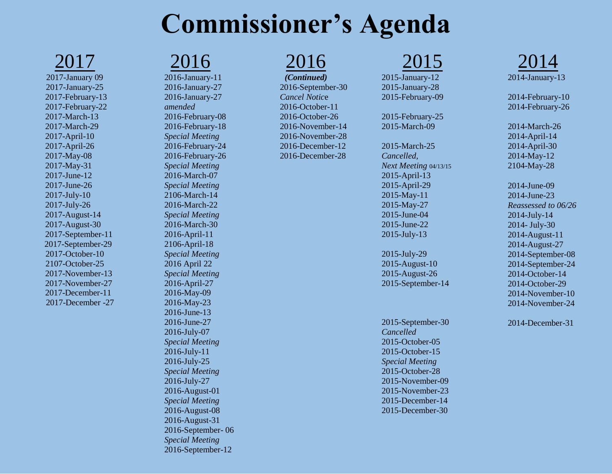## **Commissioner's Agenda**

2017

[2017-January 09](http://www.co.custer.id.us/wp-content/uploads/1/2.-2017-January-09-Agenda.pdf) [2017-January-25](http://www.co.custer.id.us/wp-content/uploads/1/1.-2017-January-25-Agenda-1.pdf) [2017-February-13](http://www.co.custer.id.us/wp-content/uploads/1/3.-2017-February-13-Agenda.pdf) [2017-February-22](http://www.co.custer.id.us/wp-content/uploads/1/4.-2017-February-22-Agenda.pdf) [2017-March-13](http://www.co.custer.id.us/wp-content/uploads/1/5.-2017-March-13-Agenda.pdf) [2017-March-29](http://www.co.custer.id.us/wp-content/uploads/1/6.-2017-March-29-Agenda-1.pdf) [2017-April-10](http://www.co.custer.id.us/wp-content/uploads/1/7.-2017-April-10-Agenda.pdf) [2017-April-26](http://www.co.custer.id.us/wp-content/uploads/1/MX-M314N_20170424_112158.pdf) [2017-May-08](http://www.co.custer.id.us/wp-content/uploads/1/9.-2017-May-08-Agenda.pdf) [2017-May-31](http://www.co.custer.id.us/wp-content/uploads/1/10.-2017-May-31-Agenda.pdf) [2017-June-12](http://www.co.custer.id.us/wp-content/uploads/1/11.-2017-June-12-Agenda.pdf) [2017-June-26](http://www.co.custer.id.us/wp-content/uploads/1/12.-2017-June-26-Agenda.pdf) [2017-July-10](http://www.co.custer.id.us/wp-content/uploads/1/13.-2017-July-10-Agenda.pdf) [2017-July-26](http://www.co.custer.id.us/wp-content/uploads/1/14.-2017-July-26-Agenda.pdf) [2017-August-14](http://www.co.custer.id.us/wp-content/uploads/1/MX-M314N_20170810_153219.pdf) [2017-August-30](http://www.co.custer.id.us/wp-content/uploads/1/16.-2017-August-30-Agenda.pdf) [2017-September-11](http://www.co.custer.id.us/wp-content/uploads/1/17.-2017-September-11-Agenda.pdf) [2017-September-29](http://www.co.custer.id.us/wp-content/uploads/1/18.-2017-September-29-Agenda.pdf) [2017-October-10](http://www.co.custer.id.us/wp-content/uploads/1/19.-2017-October-10-Agenda.pdf) [2107-October-25](http://www.co.custer.id.us/wp-content/uploads/1/20.-2017-October-25-Agenda.pdf) [2017-November-13](http://www.co.custer.id.us/wp-content/uploads/1/21.-2017-November-13-Agenda.pdf) [2017-November-27](http://www.co.custer.id.us/wp-content/uploads/1/21.-2017-November-27-Agenda.pdf) [2017-December-11](http://www.co.custer.id.us/wp-content/uploads/1/22.-2017-December-11-Agenda-1.pdf) [2017-December -27](http://www.co.custer.id.us/wp-content/uploads/1/23.-2017-December-27-Agenda.pdf)

2016 [2016-January-11](http://www.co.custer.id.us/wp-content/uploads/1/2016-January-11-Agenda.pdf) [2016-January-27](http://www.co.custer.id.us/wp-content/uploads/1/2.-2016-January-27-Agenda.pdf) [2016-January-27](http://www.co.custer.id.us/wp-content/uploads/1/3.-2016-January-27-Agenda-Amended.pdf) *[amended](http://www.co.custer.id.us/wp-content/uploads/1/3.-2016-January-27-Agenda-Amended.pdf)* [2016-February-08](http://www.co.custer.id.us/wp-content/uploads/1/2.-2016-February-08-Agenda.pdf) [2016-February-18](http://www.co.custer.id.us/wp-content/uploads/1/2a.-2016-February-18-Agenda.pdf)  *Special Meeting* [2016-February-24](http://www.co.custer.id.us/wp-content/uploads/1/3.-2016-February-24-Agenda.pdf) [2016-February-26](http://www.co.custer.id.us/wp-content/uploads/1/4.-2016-February-26-Agenda.pdf) *[Special Meeting](http://www.co.custer.id.us/wp-content/uploads/1/4.-2016-February-26-Agenda.pdf)*  [2016-March-07](http://www.co.custer.id.us/wp-content/uploads/1/8.-2016-March-7-Agenda-Special-Meeting.pdf) *[Special Meeting](http://www.co.custer.id.us/wp-content/uploads/1/8.-2016-March-7-Agenda-Special-Meeting.pdf)* [2106-March-14](http://www.co.custer.id.us/wp-content/uploads/1/9.-2106-March-14-Agenda.pdf) [2016-March-22](http://www.co.custer.id.us/wp-content/uploads/1/10.-2016-March-22-Agenda-Speical-Meeting.pdf)  *[Special Meeting](http://www.co.custer.id.us/wp-content/uploads/1/10.-2016-March-22-Agenda-Speical-Meeting.pdf)* [2016-March-30](http://www.co.custer.id.us/wp-content/uploads/1/11.-2016-March-30-Agenda.pdf) [2016-April-11](http://www.co.custer.id.us/wp-content/uploads/1/12.-2016-April-11-Agenda.pdf) [2106-April-18](http://www.co.custer.id.us/wp-content/uploads/1/13.-2106-April-18-Agenda-Special-Meeting.pdf) *Special Meeting* [2016 April 22](http://www.co.custer.id.us/wp-content/uploads/1/14.-2016-April-22-Agenda-Special-Meeting-1.pdf) *Special Meeting* [2016-April-27](http://www.co.custer.id.us/wp-content/uploads/1/15.-2016-April-27-Agenda.pdf) [2016-May-09](http://www.co.custer.id.us/wp-content/uploads/1/16.-2016-May-09-Agenda-revised-05-05.pdf) [2016-May-23](http://www.co.custer.id.us/wp-content/uploads/1/17.-2016-May-23-Agenda.pdf) [2016-June-13](http://www.co.custer.id.us/wp-content/uploads/1/18.-2016-June-13-Agenda.pdf) [2016-June-27](http://www.co.custer.id.us/wp-content/uploads/1/19.-2016-June-27-Agenda.pdf) [2016-July-07](http://www.co.custer.id.us/wp-content/uploads/1/20.-2016-July-07-Agenda-Speical-Meeting.pdf) *[Special Meeting](http://www.co.custer.id.us/wp-content/uploads/1/20.-2016-July-07-Agenda-Speical-Meeting.pdf)* [2016-July-11](http://www.co.custer.id.us/wp-content/uploads/1/21.-2016-July-11-Agenda-Speical-Meeting.pdf) [2016-July-25](http://www.co.custer.id.us/wp-content/uploads/1/13.-2016-July-25-2016-Executive-Session-Sepcial-Meeting.pdf)  *[Special Meeting](http://www.co.custer.id.us/wp-content/uploads/1/13.-2016-July-25-2016-Executive-Session-Sepcial-Meeting.pdf)* [2016-July-27](http://www.co.custer.id.us/wp-content/uploads/1/23.-2016-July-27-Agenda.pdf) [2016-August-01](http://www.co.custer.id.us/wp-content/uploads/1/24.-2016-August-01-Special-Meeting-1.pdf) *[Special Meeting](http://www.co.custer.id.us/wp-content/uploads/1/24.-2016-August-01-Special-Meeting-1.pdf)* [2016-August-08](http://www.co.custer.id.us/wp-content/uploads/1/25.-2016-August-08-Ameded-Agenda.pdf) [2016-August-31](http://www.co.custer.id.us/wp-content/uploads/1/26.-2016-August-31-Ameded-Agenda.pdf) [2016-September-](http://www.co.custer.id.us/wp-content/uploads/1/27.-2016-September-06-Agenda-1.pdf) 06 *Special Meeting* [2016-September-12](http://www.co.custer.id.us/wp-content/uploads/1/28.-2016-September-12-Agenda.pdf)

#### 2016

*(Continued)* [2016-September-30](http://www.co.custer.id.us/wp-content/uploads/1/29.-2016-September-30-Cancel-Notice.pdf) *[Cancel Notic](http://www.co.custer.id.us/wp-content/uploads/1/29.-2016-September-30-Cancel-Notice.pdf)*e [2016-October-11](http://www.co.custer.id.us/wp-content/uploads/1/30.-2016-October-11-Agenda.pdf) [2016-October-26](http://www.co.custer.id.us/wp-content/uploads/1/31.-2016-October-26-Agenda.pdf) [2016-November-14](http://www.co.custer.id.us/wp-content/uploads/1/32.-2016-November-14-Agenda.pdf) [2016-November-28](http://www.co.custer.id.us/wp-content/uploads/1/33.-2016-November-28-Agenda.pdf) [2016-December-12](http://www.co.custer.id.us/wp-content/uploads/1/34.-2016-December-12-Agenda.pdf) [2016-December-28](http://www.co.custer.id.us/wp-content/uploads/1/35.-2016-December-28-Agenda.pdf)

### 2015

[2015-January-12](http://www.co.custer.id.us/wp-content/uploads/1/2015-01-12-CC-Commisioneers-Agenda1.pdf) [2015-January-28](http://www.co.custer.id.us/wp-content/uploads/1/2015-01-28-CC-Commissioners-Agenda.pdf) [2015-February-09](http://www.co.custer.id.us/wp-content/uploads/1/2015-02-09-CC-Commissioners-Agenda1.pdf)

[2015-February-25](http://www.co.custer.id.us/wp-content/uploads/1/2015-02-25-CC-Commissioners-Agenda.pdf) [2015-March-09](http://www.co.custer.id.us/wp-content/uploads/1/2015-03-09-CC-Commissoners-Agenda.pdf)

2015-March-25 *Cancelled, Next Meeting* 04/13/15 [2015-April-13](http://www.co.custer.id.us/wp-content/uploads/1/2015-04-13-CC-Commissioners-Agenda.pdf) [2015-April-29](http://www.co.custer.id.us/wp-content/uploads/1/2015-04-29-CC-Commissioners-Agenda.pdf) [2015-May-11](http://www.co.custer.id.us/wp-content/uploads/1/2015-05-11-CC-Commissioners-Agenda.pdf) [2015-May-27](http://www.co.custer.id.us/wp-content/uploads/1/2015-05-27-CC-Commisioners-Agenda.pdf) [2015-June-04](http://www.co.custer.id.us/wp-content/uploads/1/2015-06-04-CC-Commissioner-Proceedings.pdf) [2015-June-22](http://www.co.custer.id.us/wp-content/uploads/1/2015-06-22-CC-Commissioners-Agenda.pdf) [2015-July-13](http://www.co.custer.id.us/wp-content/uploads/1/2015-07-13-CC-Commissioners-Agenda.pdf) 

[2015-July-29](http://www.co.custer.id.us/wp-content/uploads/1/2015-07-29-CC-Commissioners-Agenda.pdf) [2015-August-10](http://www.co.custer.id.us/wp-content/uploads/1/2015-08-10-CC-Comissioners-Agenda.pdf) [2015-August-26](http://www.co.custer.id.us/wp-content/uploads/1/2015-08-26-CC-Commissioners-Agenda.pdf) [2015-September-14](http://www.co.custer.id.us/wp-content/uploads/1/2015-09-14-CC-Commissioners-Agenda.pdf)

2015-September-30 *Cancelled* [2015-October-05](http://www.co.custer.id.us/wp-content/uploads/1/2015-10-05-CC-Commissioners-Agenda.pdf) [2015-October-15](http://www.co.custer.id.us/wp-content/uploads/1/2015-10-15-Special-Meeting.pdf)  *[Special Meeting](http://www.co.custer.id.us/wp-content/uploads/1/2015-10-15-Special-Meeting.pdf)* [2015-October-28](http://www.co.custer.id.us/wp-content/uploads/1/2015-10-28-CC-Commissioners-Agenda.pdf) [2015-November-09](http://www.co.custer.id.us/wp-content/uploads/1/2015-11-09-CC-Commissioners-Agenda.pdf) [2015-November-23](http://www.co.custer.id.us/wp-content/uploads/1/2015-11-23-CC-Commissioners-Agenda.pdf) [2015-December-14](http://www.co.custer.id.us/wp-content/uploads/1/2015-12-14-CC-Commissioners-Agenda.pdf) [2015-December-30](http://www.co.custer.id.us/wp-content/uploads/1/2015-12-30-CC-Commissioners-Agenda1.pdf)



[2014-February-10](http://www.co.custer.id.us/wp-content/uploads/1/2014-02-10-CC-Commissioners-Agenda1.pdf) [2014-February-26](http://www.co.custer.id.us/wp-content/uploads/1/2014-02-26-CC-Commissioners-Agenda.pdf)

[2014-March-26](http://www.co.custer.id.us/wp-content/uploads/1/2014-03-26-CC-Commissioners-Agenda.pdf) [2014-April-14](http://www.co.custer.id.us/wp-content/uploads/1/2014-04-14-CC-Commissioners-Agenda.pdf) [2014-April-30](http://www.co.custer.id.us/wp-content/uploads/1/2014-04-30-CC-Commissioners-Agenda.pdf) [2014-May-12](http://www.co.custer.id.us/wp-content/uploads/1/2014-05-12-CC-Commissioners-Agenda.pdf) [2104-May-28](http://www.co.custer.id.us/wp-content/uploads/1/05-28-2014-CC-Commissioners-Agenda.pdf)

[2014-June-09](http://www.co.custer.id.us/wp-content/uploads/1/2014-06-09-CC-Commissioners-Agenda.pdf) [2014-June-23](http://www.co.custer.id.us/wp-content/uploads/1/2014-06-23-CC-Commissioners-Agenda.pdf) *Reassessed to 06/26* [2014-July-14](http://www.co.custer.id.us/wp-content/uploads/1/2014-07-14-CC-Commissioners-Aganda-Reviesed.pdf) 2014- [July-30](http://www.co.custer.id.us/wp-content/uploads/1/2014-07-30-CC-Commissioners-Agenda.pdf) [2014-August-11](http://www.co.custer.id.us/wp-content/uploads/1/2014-08-11-CC-Commissioners-Agenda1.pdf) [2014-August-27](http://www.co.custer.id.us/wp-content/uploads/1/2014-08-27-CC-Commissioners-Agenda1.pdf) [2014-September-08](http://www.co.custer.id.us/wp-content/uploads/1/2014-09-08-CC-Commissioners-Agenda1.pdf) [2014-September-24](http://www.co.custer.id.us/wp-content/uploads/1/2014-09-24-CC-Commissioners-Agenda.pdf) [2014-October-14](http://www.co.custer.id.us/wp-content/uploads/1/2014-10-14-CC-Commissioners-Agenda1.pdf) [2014-October-29](http://www.co.custer.id.us/wp-content/uploads/1/2014-10-29-CC-Commissioners-Agenda.pdf) [2014-November-10](http://www.co.custer.id.us/wp-content/uploads/1/2014-11-10-CC-Commissioners-Agenda.pdf) [2014-November-24](http://www.co.custer.id.us/wp-content/uploads/1/2014-11-24-CC-Commissioners-Agenda.pdf)

[2014-December-31](http://www.co.custer.id.us/wp-content/uploads/1/2014-12-31-CC-Commissioners-Agenda.pdf)